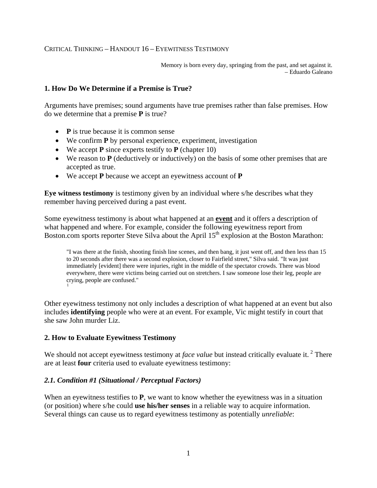### CRITICAL THINKING – HANDOUT 16 – EYEWITNESS TESTIMONY

Memory is born every day, springing from the past, and set against it. – Eduardo Galeano

### **1. How Do We Determine if a Premise is True?**

Arguments have premises; sound arguments have true premises rather than false premises. How do we determine that a premise **P** is true?

- **P** is true because it is common sense
- We confirm **P** by personal experience, experiment, investigation
- We accept **P** since experts testify to **P** (chapter 10)
- We reason to **P** (deductively or inductively) on the basis of some other premises that are accepted as true.
- We accept **P** because we accept an eyewitness account of **P**

**Eye witness testimony** is testimony given by an individual where s/he describes what they remember having perceived during a past event.

Some eyewitness testimony is about what happened at an **event** and it offers a description of what happened and where. For example, consider the following eyewitness report from Boston.com sports reporter Steve Silva about the April 15<sup>th</sup> explosion at the Boston Marathon:

"I was there at the finish, shooting finish line scenes, and then bang, it just went off, and then less than 15 to 20 seconds after there was a second explosion, closer to Fairfield street," Silva said. "It was just immediately [evident] there were injuries, right in the middle of the spectator crowds. There was blood everywhere, there were victims being carried out on stretchers. I saw someone lose their leg, people are crying, people are confused." [1](#page-6-0)

Other eyewitness testimony not only includes a description of what happened at an event but also includes **identifying** people who were at an event. For example, Vic might testify in court that she saw John murder Liz.

### **2. How to Evaluate Eyewitness Testimony**

We should not accept eyewitness testimony at *face value* but instead critically evaluate it.<sup>[2](#page-6-1)</sup> There are at least **four** criteria used to evaluate eyewitness testimony:

### *2.1. Condition #1 (Situational / Perceptual Factors)*

When an eyewitness testifies to **P**, we want to know whether the eyewitness was in a situation (or position) where s/he could **use his/her senses** in a reliable way to acquire information. Several things can cause us to regard eyewitness testimony as potentially *unreliable*: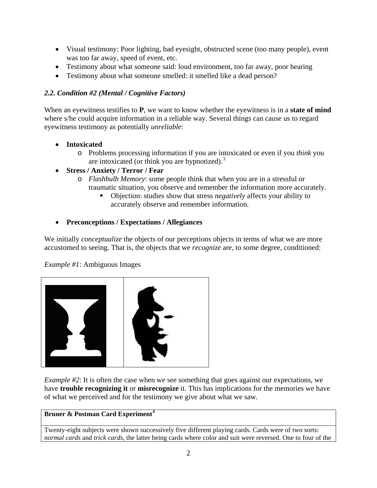- Visual testimony: Poor lighting, bad eyesight, obstructed scene (too many people), event was too far away, speed of event, etc.
- Testimony about what someone said: loud environment, too far away, poor hearing
- Testimony about what someone smelled: it smelled like a dead person?

# *2.2. Condition #2 (Mental / Cognitive Factors)*

When an eyewitness testifies to **P**, we want to know whether the eyewitness is in a **state of mind**  where s/he could acquire information in a reliable way. Several things can cause us to regard eyewitness testimony as potentially *unreliable*:

- **Intoxicated**
	- o Problems processing information if you are intoxicated or even if you *think* you are intoxicated (or think you are hypnotized). $3$

# • **Stress / Anxiety / Terror / Fear**

- o *Flashbulb Memory*: some people think that when you are in a stressful or traumatic situation, you observe and remember the information more accurately.
	- Objection: studies show that stress *negatively* affects your ability to accurately observe and remember information.

# • **Preconceptions / Expectations / Allegiances**

We initially *conceptualize* the objects of our perceptions objects in terms of what we are more accustomed to seeing. That is, the objects that we *recognize* are, to some degree, conditioned:

*Example #1*: Ambiguous Images



*Example #2*: It is often the case when we see something that goes against our expectations, we have **trouble recognizing it** or **misrecognize** it. This has implications for the memories we have of what we perceived and for the testimony we give about what we saw.

## **Bruner & Postman Card Experiment[4](#page-6-3)**

Twenty-eight subjects were shown successively five different playing cards. Cards were of two sorts: *normal cards* and *trick cards*, the latter being cards where color and suit were reversed. One to four of the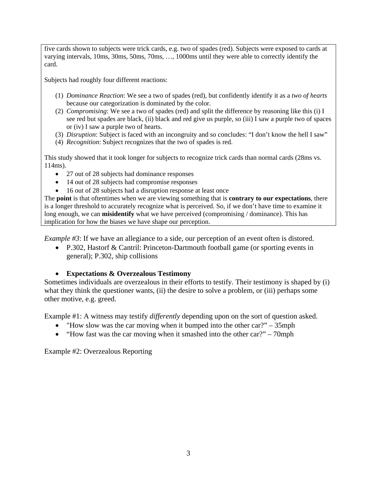five cards shown to subjects were trick cards, e.g. two of spades (red). Subjects were exposed to cards at varying intervals, 10ms, 30ms, 50ms, 70ms, …, 1000ms until they were able to correctly identify the card.

Subjects had roughly four different reactions:

- (1) *Dominance Reaction*: We see a two of spades (red), but confidently identify it as a *two of hearts* because our categorization is dominated by the color.
- (2) *Compromising*: We see a two of spades (red) and split the difference by reasoning like this (i) I see red but spades are black, (ii) black and red give us purple, so (iii) I saw a purple two of spaces or (iv) I saw a purple two of hearts.
- (3) *Disruption*: Subject is faced with an incongruity and so concludes: "I don't know the hell I saw"
- (4) *Recognition*: Subject recognizes that the two of spades is red.

This study showed that it took longer for subjects to recognize trick cards than normal cards (28ms vs. 114ms).

- 27 out of 28 subjects had dominance responses
- 14 out of 28 subjects had compromise responses
- 16 out of 28 subjects had a disruption response at least once

The **point** is that oftentimes when we are viewing something that is **contrary to our expectations**, there is a longer threshold to accurately recognize what is perceived. So, if we don't have time to examine it long enough, we can **misidentify** what we have perceived (compromising / dominance). This has implication for how the biases we have shape our perception.

*Example #3*: If we have an allegiance to a side, our perception of an event often is distored.

• P.302, Hastorf & Cantril: Princeton-Dartmouth football game (or sporting events in general); P.302, ship collisions

## • **Expectations & Overzealous Testimony**

Sometimes individuals are overzealous in their efforts to testify. Their testimony is shaped by (i) what they think the questioner wants, (ii) the desire to solve a problem, or (iii) perhaps some other motive, e.g. greed.

Example #1: A witness may testify *differently* depending upon on the sort of question asked.

- "How slow was the car moving when it bumped into the other car?" 35mph
- "How fast was the car moving when it smashed into the other car?" 70mph

Example #2: Overzealous Reporting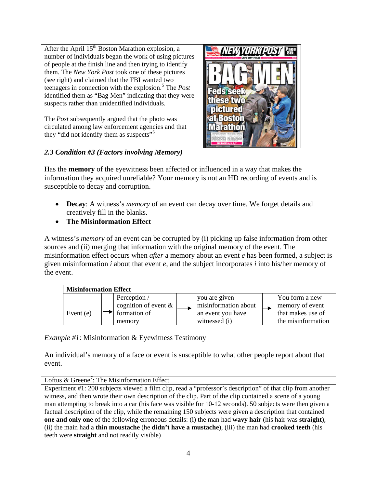After the April  $15<sup>th</sup>$  Boston Marathon explosion, a number of individuals began the work of using pictures of people at the finish line and then trying to identify them. The *New York Post* took one of these pictures (see right) and claimed that the FBI wanted two teenagers in connection with the explosion.<sup>[5](#page-6-4)</sup> The *Post* identified them as "Bag Men" indicating that they were suspects rather than unidentified individuals.

The *Post* subsequently argued that the photo was circulated among law enforcement agencies and that they "did not identify them as suspects"<sup>[6](#page-6-5)</sup>



*2.3 Condition #3 (Factors involving Memory)*

Has the **memory** of the eyewitness been affected or influenced in a way that makes the information they acquired unreliable? Your memory is not an HD recording of events and is susceptible to decay and corruption.

- **Decay**: A witness's *memory* of an event can decay over time. We forget details and creatively fill in the blanks.
- **The Misinformation Effect**

A witness's *memory* of an event can be corrupted by (i) picking up false information from other sources and (ii) merging that information with the original memory of the event. The misinformation effect occurs when *after* a memory about an event *e* has been formed, a subject is given misinformation *i* about that event *e*, and the subject incorporates *i* into his/her memory of the event.



*Example #1*: Misinformation & Eyewitness Testimony

An individual's memory of a face or event is susceptible to what other people report about that event.

Loftus & Greene<sup>[7](#page-6-6)</sup>: The Misinformation Effect

Experiment #1: 200 subjects viewed a film clip, read a "professor's description" of that clip from another witness, and then wrote their own description of the clip. Part of the clip contained a scene of a young man attempting to break into a car (his face was visible for 10-12 seconds). 50 subjects were then given a factual description of the clip, while the remaining 150 subjects were given a description that contained **one and only one** of the following erroneous details: (i) the man had **wavy hair** (his hair was **straight**), (ii) the main had a **thin moustache** (he **didn't have a mustache**), (iii) the man had **crooked teeth** (his teeth were **straight** and not readily visible)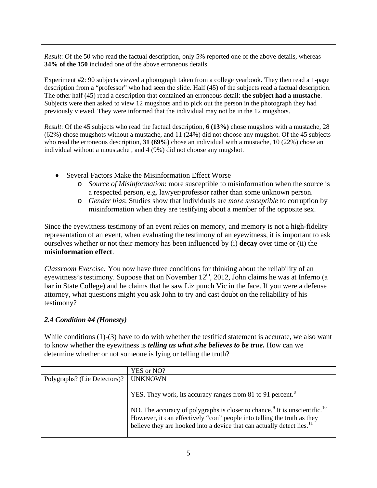*Result*: Of the 50 who read the factual description, only 5% reported one of the above details, whereas **34% of the 150** included one of the above erroneous details.

Experiment #2: 90 subjects viewed a photograph taken from a college yearbook. They then read a 1-page description from a "professor" who had seen the slide. Half (45) of the subjects read a factual description. The other half (45) read a description that contained an erroneous detail: **the subject had a mustache**. Subjects were then asked to view 12 mugshots and to pick out the person in the photograph they had previously viewed. They were informed that the individual may not be in the 12 mugshots.

*Result*: Of the 45 subjects who read the factual description, **6 (13%)** chose mugshots with a mustache, 28 (62%) chose mugshots without a mustache, and 11 (24%) did not choose any mugshot. Of the 45 subjects who read the erroneous description, **31 (69%)** chose an individual with a mustache, 10 (22%) chose an individual without a moustache , and 4 (9%) did not choose any mugshot.

- Several Factors Make the Misinformation Effect Worse
	- o *Source of Misinformation*: more susceptible to misinformation when the source is a respected person, e.g. lawyer/professor rather than some unknown person.
	- o *Gender bias*: Studies show that individuals are *more susceptible* to corruption by misinformation when they are testifying about a member of the opposite sex.

Since the eyewitness testimony of an event relies on memory, and memory is not a high-fidelity representation of an event, when evaluating the testimony of an eyewitness, it is important to ask ourselves whether or not their memory has been influenced by (i) **decay** over time or (ii) the **misinformation effect**.

*Classroom Exercise:* You now have three conditions for thinking about the reliability of an eyewitness's testimony. Suppose that on November  $12^{th}$ , 2012, John claims he was at Inferno (a bar in State College) and he claims that he saw Liz punch Vic in the face. If you were a defense attorney, what questions might you ask John to try and cast doubt on the reliability of his testimony?

## *2.4 Condition #4 (Honesty)*

While conditions (1)-(3) have to do with whether the testified statement is accurate, we also want to know whether the eyewitness is *telling us what s/he believes to be true***.** How can we determine whether or not someone is lying or telling the truth?

|                              | YES or NO?                                                                                                                                                                                                                                                                                                                                     |
|------------------------------|------------------------------------------------------------------------------------------------------------------------------------------------------------------------------------------------------------------------------------------------------------------------------------------------------------------------------------------------|
| Polygraphs? (Lie Detectors)? | <b>UNKNOWN</b>                                                                                                                                                                                                                                                                                                                                 |
|                              | YES. They work, its accuracy ranges from 81 to 91 percent. <sup>8</sup><br>NO. The accuracy of polygraphs is closer to chance. <sup>9</sup> It is unscientific. <sup>10</sup><br>However, it can effectively "con" people into telling the truth as they<br>believe they are hooked into a device that can actually detect lies. <sup>11</sup> |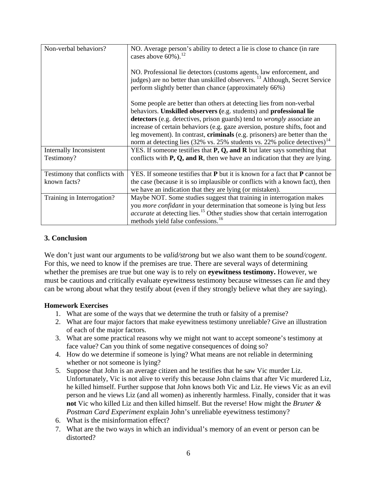| Non-verbal behaviors?         | NO. Average person's ability to detect a lie is close to chance (in rare<br>cases above $60\%$ ). <sup>12</sup>                                                                                                           |
|-------------------------------|---------------------------------------------------------------------------------------------------------------------------------------------------------------------------------------------------------------------------|
|                               | NO. Professional lie detectors (customs agents, law enforcement, and<br>judges) are no better than unskilled observers. <sup>13</sup> Although, Secret Service<br>perform slightly better than chance (approximately 66%) |
|                               | Some people are better than others at detecting lies from non-verbal<br>behaviors. Unskilled observers (e.g. students) and professional lie                                                                               |
|                               | detectors (e.g. detectives, prison guards) tend to <i>wrongly</i> associate an                                                                                                                                            |
|                               | increase of certain behaviors (e.g. gaze aversion, posture shifts, foot and                                                                                                                                               |
|                               | leg movement). In contrast, <b>criminals</b> (e.g. prisoners) are better than the<br>norm at detecting lies (32% vs. 25% students vs. 22% police detectives) <sup>14</sup>                                                |
| Internally Inconsistent       | YES. If someone testifies that $P$ , $Q$ , and $R$ but later says something that                                                                                                                                          |
| Testimony?                    | conflicts with $P$ , $Q$ , and $R$ , then we have an indication that they are lying.                                                                                                                                      |
| Testimony that conflicts with | YES. If someone testifies that $P$ but it is known for a fact that $P$ cannot be                                                                                                                                          |
| known facts?                  | the case (because it is so implausible or conflicts with a known fact), then                                                                                                                                              |
|                               | we have an indication that they are lying (or mistaken).                                                                                                                                                                  |
| Training in Interrogation?    | Maybe NOT. Some studies suggest that training in interrogation makes                                                                                                                                                      |
|                               | you <i>more confidant</i> in your determination that someone is lying but less                                                                                                                                            |
|                               | <i>accurate</i> at detecting lies. <sup>15</sup> Other studies show that certain interrogation                                                                                                                            |
|                               | methods yield false confessions. <sup>16</sup>                                                                                                                                                                            |

### **3. Conclusion**

We don't just want our arguments to be *valid/strong* but we also want them to be *sound/cogent*. For this, we need to know if the premises are true. There are several ways of determining whether the premises are true but one way is to rely on **eyewitness testimony.** However, we must be cautious and critically evaluate eyewitness testimony because witnesses can *lie* and they can be wrong about what they testify about (even if they strongly believe what they are saying).

### **Homework Exercises**

- 1. What are some of the ways that we determine the truth or falsity of a premise?
- 2. What are four major factors that make eyewitness testimony unreliable? Give an illustration of each of the major factors.
- 3. What are some practical reasons why we might not want to accept someone's testimony at face value? Can you think of some negative consequences of doing so?
- 4. How do we determine if someone is lying? What means are not reliable in determining whether or not someone is lying?
- 5. Suppose that John is an average citizen and he testifies that he saw Vic murder Liz. Unfortunately, Vic is not alive to verify this because John claims that after Vic murdered Liz, he killed himself. Further suppose that John knows both Vic and Liz. He views Vic as an evil person and he views Liz (and all women) as inherently harmless. Finally, consider that it was **not** Vic who killed Liz and then killed himself. But the reverse! How might the *Bruner & Postman Card Experiment* explain John's unreliable eyewitness testimony?
- 6. What is the misinformation effect?
- 7. What are the two ways in which an individual's memory of an event or person can be distorted?